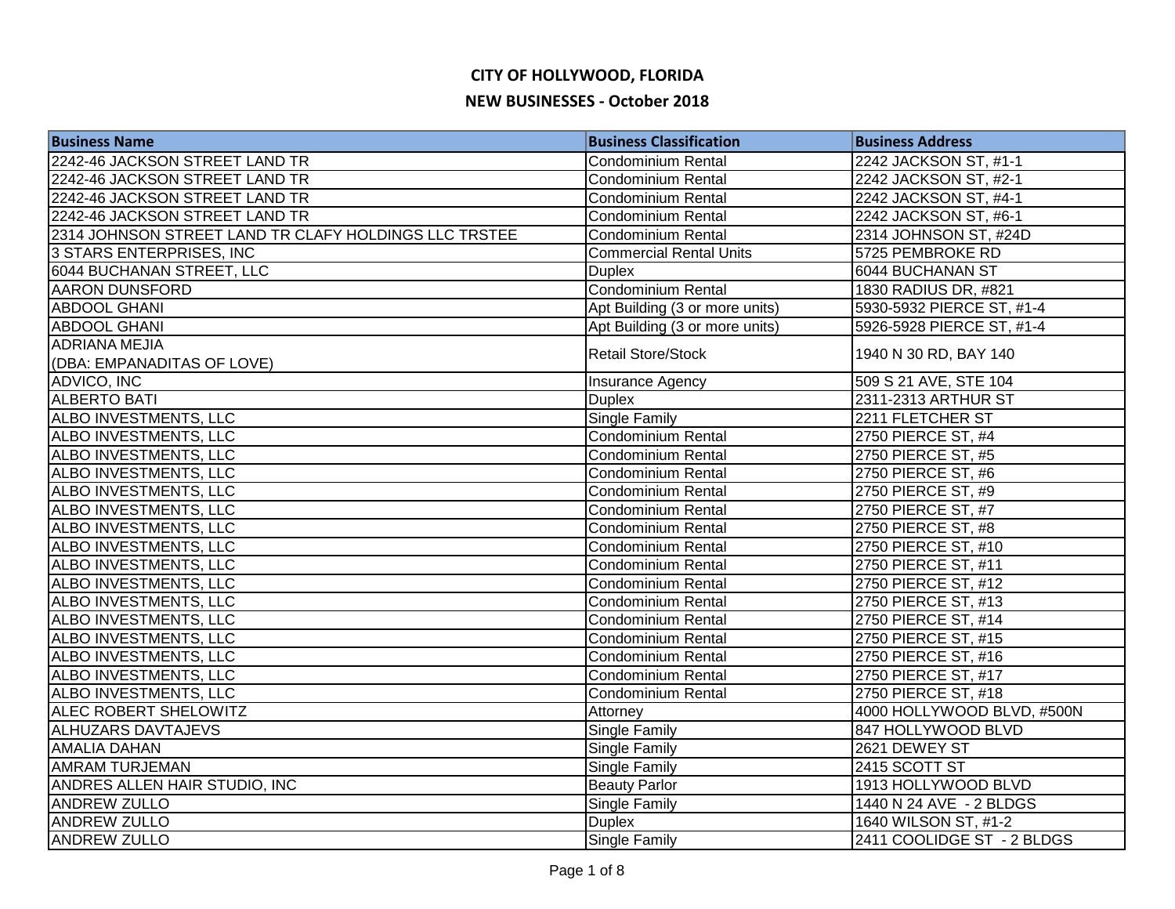| <b>Business Name</b>                                  | <b>Business Classification</b> | <b>Business Address</b>    |
|-------------------------------------------------------|--------------------------------|----------------------------|
| 2242-46 JACKSON STREET LAND TR                        | <b>Condominium Rental</b>      | 2242 JACKSON ST, #1-1      |
| 2242-46 JACKSON STREET LAND TR                        | <b>Condominium Rental</b>      | 2242 JACKSON ST, #2-1      |
| 2242-46 JACKSON STREET LAND TR                        | <b>Condominium Rental</b>      | 2242 JACKSON ST, #4-1      |
| 2242-46 JACKSON STREET LAND TR                        | <b>Condominium Rental</b>      | 2242 JACKSON ST, #6-1      |
| 2314 JOHNSON STREET LAND TR CLAFY HOLDINGS LLC TRSTEE | <b>Condominium Rental</b>      | 2314 JOHNSON ST, #24D      |
| 3 STARS ENTERPRISES, INC                              | <b>Commercial Rental Units</b> | 5725 PEMBROKE RD           |
| 6044 BUCHANAN STREET, LLC                             | <b>Duplex</b>                  | 6044 BUCHANAN ST           |
| <b>AARON DUNSFORD</b>                                 | <b>Condominium Rental</b>      | 1830 RADIUS DR, #821       |
| <b>ABDOOL GHANI</b>                                   | Apt Building (3 or more units) | 5930-5932 PIERCE ST, #1-4  |
| <b>ABDOOL GHANI</b>                                   | Apt Building (3 or more units) | 5926-5928 PIERCE ST, #1-4  |
| <b>ADRIANA MEJIA</b>                                  | <b>Retail Store/Stock</b>      |                            |
| (DBA: EMPANADITAS OF LOVE)                            |                                | 1940 N 30 RD, BAY 140      |
| ADVICO, INC                                           | Insurance Agency               | 509 S 21 AVE, STE 104      |
| <b>ALBERTO BATI</b>                                   | <b>Duplex</b>                  | 2311-2313 ARTHUR ST        |
| ALBO INVESTMENTS, LLC                                 | Single Family                  | 2211 FLETCHER ST           |
| ALBO INVESTMENTS, LLC                                 | <b>Condominium Rental</b>      | 2750 PIERCE ST, #4         |
| ALBO INVESTMENTS, LLC                                 | <b>Condominium Rental</b>      | 2750 PIERCE ST, #5         |
| ALBO INVESTMENTS, LLC                                 | Condominium Rental             | 2750 PIERCE ST, #6         |
| ALBO INVESTMENTS, LLC                                 | Condominium Rental             | 2750 PIERCE ST, #9         |
| ALBO INVESTMENTS, LLC                                 | Condominium Rental             | 2750 PIERCE ST, #7         |
| ALBO INVESTMENTS, LLC                                 | Condominium Rental             | 2750 PIERCE ST, #8         |
| ALBO INVESTMENTS, LLC                                 | Condominium Rental             | 2750 PIERCE ST, #10        |
| ALBO INVESTMENTS, LLC                                 | Condominium Rental             | 2750 PIERCE ST, #11        |
| ALBO INVESTMENTS, LLC                                 | Condominium Rental             | 2750 PIERCE ST, #12        |
| <b>ALBO INVESTMENTS, LLC</b>                          | <b>Condominium Rental</b>      | 2750 PIERCE ST, #13        |
| ALBO INVESTMENTS, LLC                                 | <b>Condominium Rental</b>      | 2750 PIERCE ST, #14        |
| ALBO INVESTMENTS, LLC                                 | <b>Condominium Rental</b>      | 2750 PIERCE ST, #15        |
| ALBO INVESTMENTS, LLC                                 | Condominium Rental             | 2750 PIERCE ST, #16        |
| ALBO INVESTMENTS, LLC                                 | Condominium Rental             | 2750 PIERCE ST, #17        |
| ALBO INVESTMENTS, LLC                                 | <b>Condominium Rental</b>      | 2750 PIERCE ST, #18        |
| <b>ALEC ROBERT SHELOWITZ</b>                          | Attorney                       | 4000 HOLLYWOOD BLVD, #500N |
| <b>ALHUZARS DAVTAJEVS</b>                             | Single Family                  | 847 HOLLYWOOD BLVD         |
| <b>AMALIA DAHAN</b>                                   | Single Family                  | 2621 DEWEY ST              |
| <b>AMRAM TURJEMAN</b>                                 | Single Family                  | 2415 SCOTT ST              |
| ANDRES ALLEN HAIR STUDIO, INC                         | <b>Beauty Parlor</b>           | 1913 HOLLYWOOD BLVD        |
| <b>ANDREW ZULLO</b>                                   | Single Family                  | 1440 N 24 AVE - 2 BLDGS    |
| <b>ANDREW ZULLO</b>                                   | <b>Duplex</b>                  | 1640 WILSON ST, #1-2       |
| <b>ANDREW ZULLO</b>                                   | Single Family                  | 2411 COOLIDGE ST - 2 BLDGS |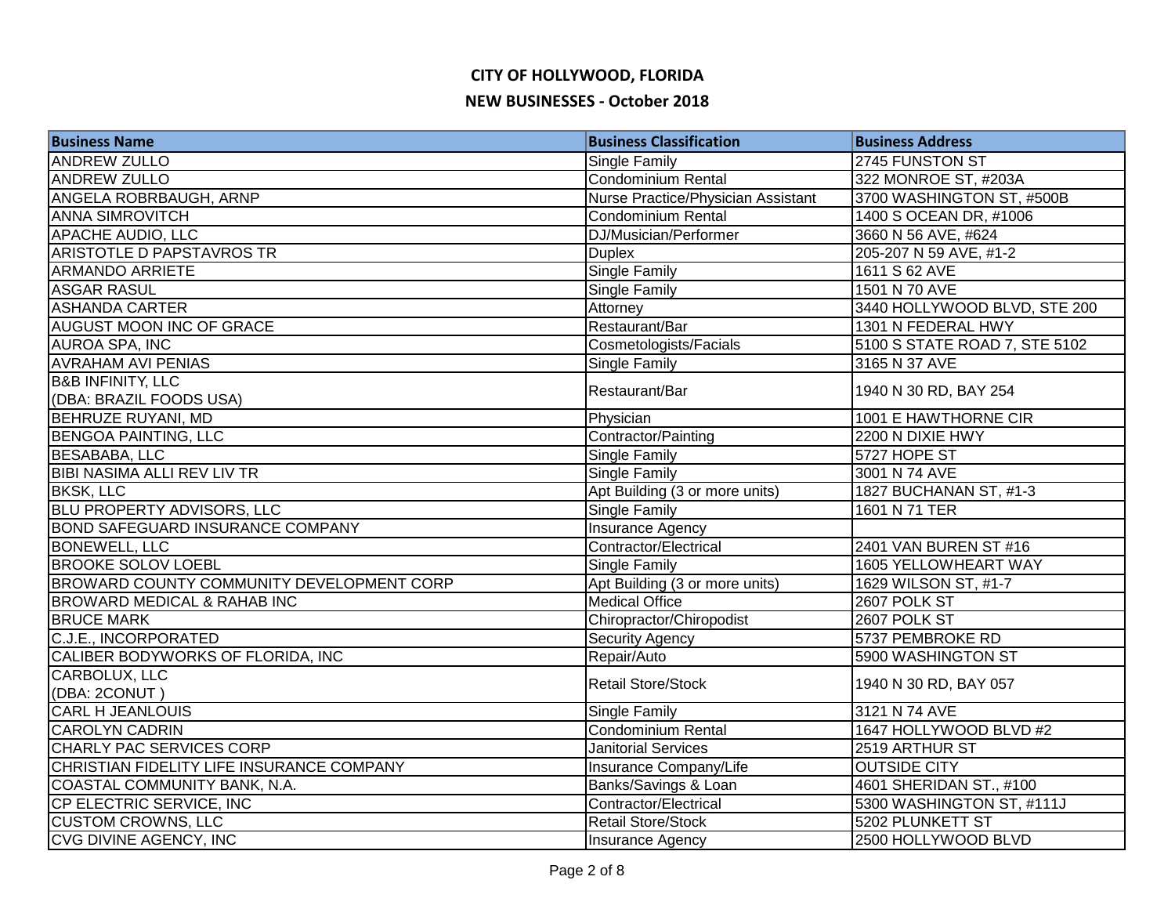| <b>Business Name</b>                      | <b>Business Classification</b>     | <b>Business Address</b>       |
|-------------------------------------------|------------------------------------|-------------------------------|
| <b>ANDREW ZULLO</b>                       | <b>Single Family</b>               | 2745 FUNSTON ST               |
| <b>ANDREW ZULLO</b>                       | Condominium Rental                 | 322 MONROE ST, #203A          |
| ANGELA ROBRBAUGH, ARNP                    | Nurse Practice/Physician Assistant | 3700 WASHINGTON ST, #500B     |
| <b>ANNA SIMROVITCH</b>                    | Condominium Rental                 | 1400 S OCEAN DR, #1006        |
| <b>APACHE AUDIO, LLC</b>                  | DJ/Musician/Performer              | 3660 N 56 AVE, #624           |
| <b>ARISTOTLE D PAPSTAVROS TR</b>          | <b>Duplex</b>                      | 205-207 N 59 AVE, #1-2        |
| <b>ARMANDO ARRIETE</b>                    | Single Family                      | 1611 S 62 AVE                 |
| <b>ASGAR RASUL</b>                        | <b>Single Family</b>               | 1501 N 70 AVE                 |
| <b>ASHANDA CARTER</b>                     | Attorney                           | 3440 HOLLYWOOD BLVD, STE 200  |
| <b>AUGUST MOON INC OF GRACE</b>           | Restaurant/Bar                     | 1301 N FEDERAL HWY            |
| AUROA SPA, INC                            | Cosmetologists/Facials             | 5100 S STATE ROAD 7, STE 5102 |
| <b>AVRAHAM AVI PENIAS</b>                 | <b>Single Family</b>               | 3165 N 37 AVE                 |
| <b>B&amp;B INFINITY, LLC</b>              | Restaurant/Bar                     | 1940 N 30 RD, BAY 254         |
| (DBA: BRAZIL FOODS USA)                   |                                    |                               |
| <b>BEHRUZE RUYANI, MD</b>                 | Physician                          | 1001 E HAWTHORNE CIR          |
| <b>BENGOA PAINTING, LLC</b>               | Contractor/Painting                | 2200 N DIXIE HWY              |
| <b>BESABABA, LLC</b>                      | <b>Single Family</b>               | 5727 HOPE ST                  |
| <b>BIBI NASIMA ALLI REV LIV TR</b>        | Single Family                      | 3001 N 74 AVE                 |
| <b>BKSK, LLC</b>                          | Apt Building (3 or more units)     | 1827 BUCHANAN ST, #1-3        |
| <b>BLU PROPERTY ADVISORS, LLC</b>         | <b>Single Family</b>               | 1601 N 71 TER                 |
| <b>BOND SAFEGUARD INSURANCE COMPANY</b>   | Insurance Agency                   |                               |
| <b>BONEWELL, LLC</b>                      | Contractor/Electrical              | 2401 VAN BUREN ST #16         |
| <b>BROOKE SOLOV LOEBL</b>                 | Single Family                      | 1605 YELLOWHEART WAY          |
| BROWARD COUNTY COMMUNITY DEVELOPMENT CORP | Apt Building (3 or more units)     | 1629 WILSON ST, #1-7          |
| <b>BROWARD MEDICAL &amp; RAHAB INC</b>    | <b>Medical Office</b>              | 2607 POLK ST                  |
| <b>BRUCE MARK</b>                         | Chiropractor/Chiropodist           | 2607 POLK ST                  |
| C.J.E., INCORPORATED                      | <b>Security Agency</b>             | 5737 PEMBROKE RD              |
| CALIBER BODYWORKS OF FLORIDA, INC         | Repair/Auto                        | 5900 WASHINGTON ST            |
| CARBOLUX, LLC                             | <b>Retail Store/Stock</b>          | 1940 N 30 RD, BAY 057         |
| (DBA: 2CONUT)                             |                                    |                               |
| <b>CARL H JEANLOUIS</b>                   | Single Family                      | 3121 N 74 AVE                 |
| <b>CAROLYN CADRIN</b>                     | Condominium Rental                 | 1647 HOLLYWOOD BLVD #2        |
| CHARLY PAC SERVICES CORP                  | <b>Janitorial Services</b>         | 2519 ARTHUR ST                |
| CHRISTIAN FIDELITY LIFE INSURANCE COMPANY | Insurance Company/Life             | <b>OUTSIDE CITY</b>           |
| COASTAL COMMUNITY BANK, N.A.              | Banks/Savings & Loan               | 4601 SHERIDAN ST., #100       |
| CP ELECTRIC SERVICE, INC                  | Contractor/Electrical              | 5300 WASHINGTON ST, #111J     |
| <b>CUSTOM CROWNS, LLC</b>                 | <b>Retail Store/Stock</b>          | 5202 PLUNKETT ST              |
| CVG DIVINE AGENCY, INC                    | Insurance Agency                   | 2500 HOLLYWOOD BLVD           |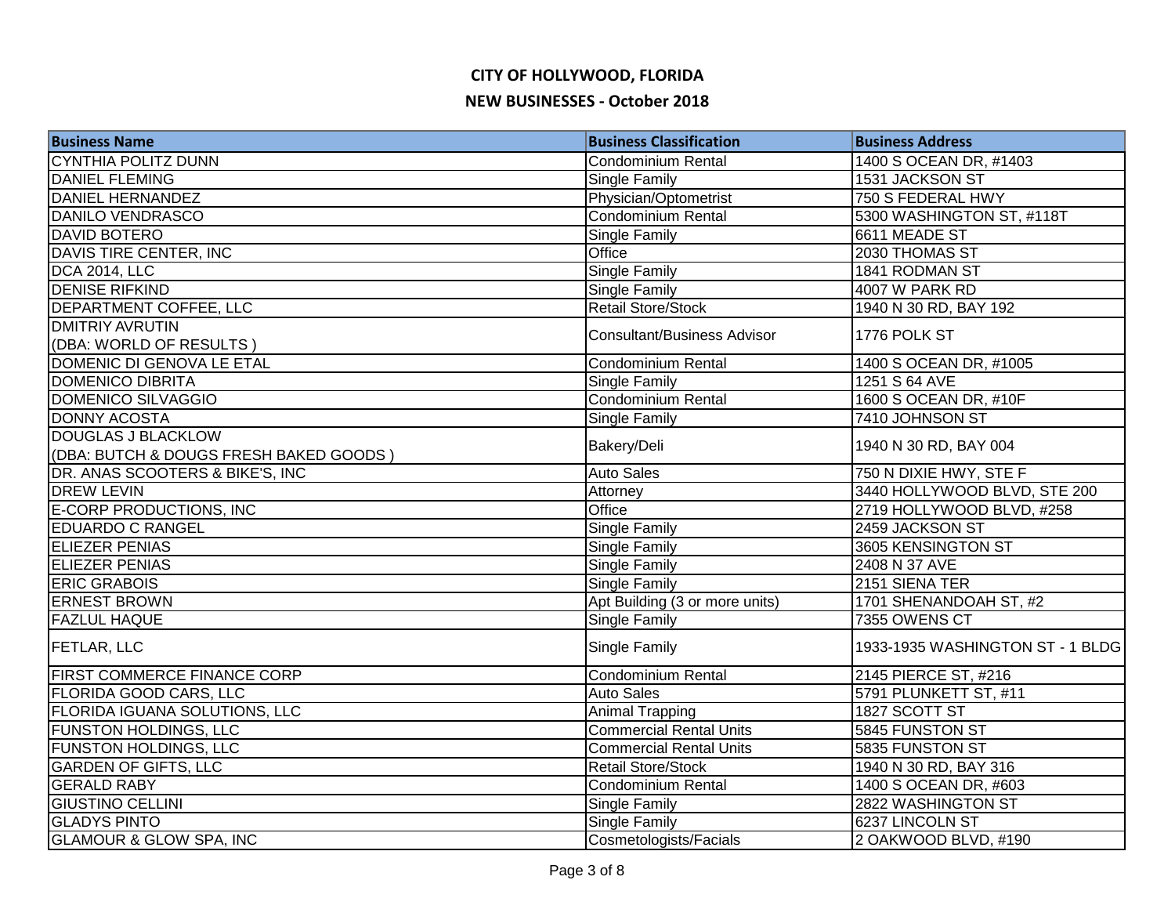| <b>Business Name</b>                   | <b>Business Classification</b>     | <b>Business Address</b>          |
|----------------------------------------|------------------------------------|----------------------------------|
| <b>CYNTHIA POLITZ DUNN</b>             | Condominium Rental                 | 1400 S OCEAN DR, #1403           |
| <b>DANIEL FLEMING</b>                  | Single Family                      | 1531 JACKSON ST                  |
| <b>DANIEL HERNANDEZ</b>                | Physician/Optometrist              | 750 S FEDERAL HWY                |
| DANILO VENDRASCO                       | <b>Condominium Rental</b>          | 5300 WASHINGTON ST, #118T        |
| <b>DAVID BOTERO</b>                    | Single Family                      | 6611 MEADE ST                    |
| DAVIS TIRE CENTER, INC                 | Office                             | 2030 THOMAS ST                   |
| <b>DCA 2014, LLC</b>                   | <b>Single Family</b>               | 1841 RODMAN ST                   |
| <b>DENISE RIFKIND</b>                  | <b>Single Family</b>               | 4007 W PARK RD                   |
| <b>DEPARTMENT COFFEE, LLC</b>          | <b>Retail Store/Stock</b>          | 1940 N 30 RD, BAY 192            |
| <b>DMITRIY AVRUTIN</b>                 |                                    |                                  |
| (DBA: WORLD OF RESULTS)                | <b>Consultant/Business Advisor</b> | 1776 POLK ST                     |
| DOMENIC DI GENOVA LE ETAL              | <b>Condominium Rental</b>          | 1400 S OCEAN DR, #1005           |
| <b>DOMENICO DIBRITA</b>                | Single Family                      | 1251 S 64 AVE                    |
| DOMENICO SILVAGGIO                     | Condominium Rental                 | 1600 S OCEAN DR, #10F            |
| DONNY ACOSTA                           | Single Family                      | 7410 JOHNSON ST                  |
| DOUGLAS J BLACKLOW                     |                                    |                                  |
| (DBA: BUTCH & DOUGS FRESH BAKED GOODS) | Bakery/Deli                        | 1940 N 30 RD, BAY 004            |
| DR. ANAS SCOOTERS & BIKE'S, INC        | <b>Auto Sales</b>                  | 750 N DIXIE HWY, STE F           |
| <b>DREW LEVIN</b>                      | Attorney                           | 3440 HOLLYWOOD BLVD, STE 200     |
| E-CORP PRODUCTIONS, INC                | Office                             | 2719 HOLLYWOOD BLVD, #258        |
| <b>EDUARDO C RANGEL</b>                | Single Family                      | 2459 JACKSON ST                  |
| <b>ELIEZER PENIAS</b>                  | Single Family                      | 3605 KENSINGTON ST               |
| <b>ELIEZER PENIAS</b>                  | Single Family                      | 2408 N 37 AVE                    |
| <b>ERIC GRABOIS</b>                    | Single Family                      | 2151 SIENA TER                   |
| <b>ERNEST BROWN</b>                    | Apt Building (3 or more units)     | 1701 SHENANDOAH ST, #2           |
| <b>FAZLUL HAQUE</b>                    | <b>Single Family</b>               | 7355 OWENS CT                    |
| <b>FETLAR, LLC</b>                     | Single Family                      | 1933-1935 WASHINGTON ST - 1 BLDG |
| <b>FIRST COMMERCE FINANCE CORP</b>     | Condominium Rental                 | 2145 PIERCE ST, #216             |
| FLORIDA GOOD CARS, LLC                 | <b>Auto Sales</b>                  | 5791 PLUNKETT ST, #11            |
| <b>FLORIDA IGUANA SOLUTIONS, LLC</b>   | <b>Animal Trapping</b>             | 1827 SCOTT ST                    |
| <b>FUNSTON HOLDINGS, LLC</b>           | <b>Commercial Rental Units</b>     | 5845 FUNSTON ST                  |
| <b>FUNSTON HOLDINGS, LLC</b>           | <b>Commercial Rental Units</b>     | 5835 FUNSTON ST                  |
| <b>GARDEN OF GIFTS, LLC</b>            | <b>Retail Store/Stock</b>          | 1940 N 30 RD, BAY 316            |
| <b>GERALD RABY</b>                     | Condominium Rental                 | 1400 S OCEAN DR, #603            |
| <b>GIUSTINO CELLINI</b>                | <b>Single Family</b>               | 2822 WASHINGTON ST               |
| <b>GLADYS PINTO</b>                    | <b>Single Family</b>               | 6237 LINCOLN ST                  |
| <b>GLAMOUR &amp; GLOW SPA, INC</b>     | Cosmetologists/Facials             | 2 OAKWOOD BLVD, #190             |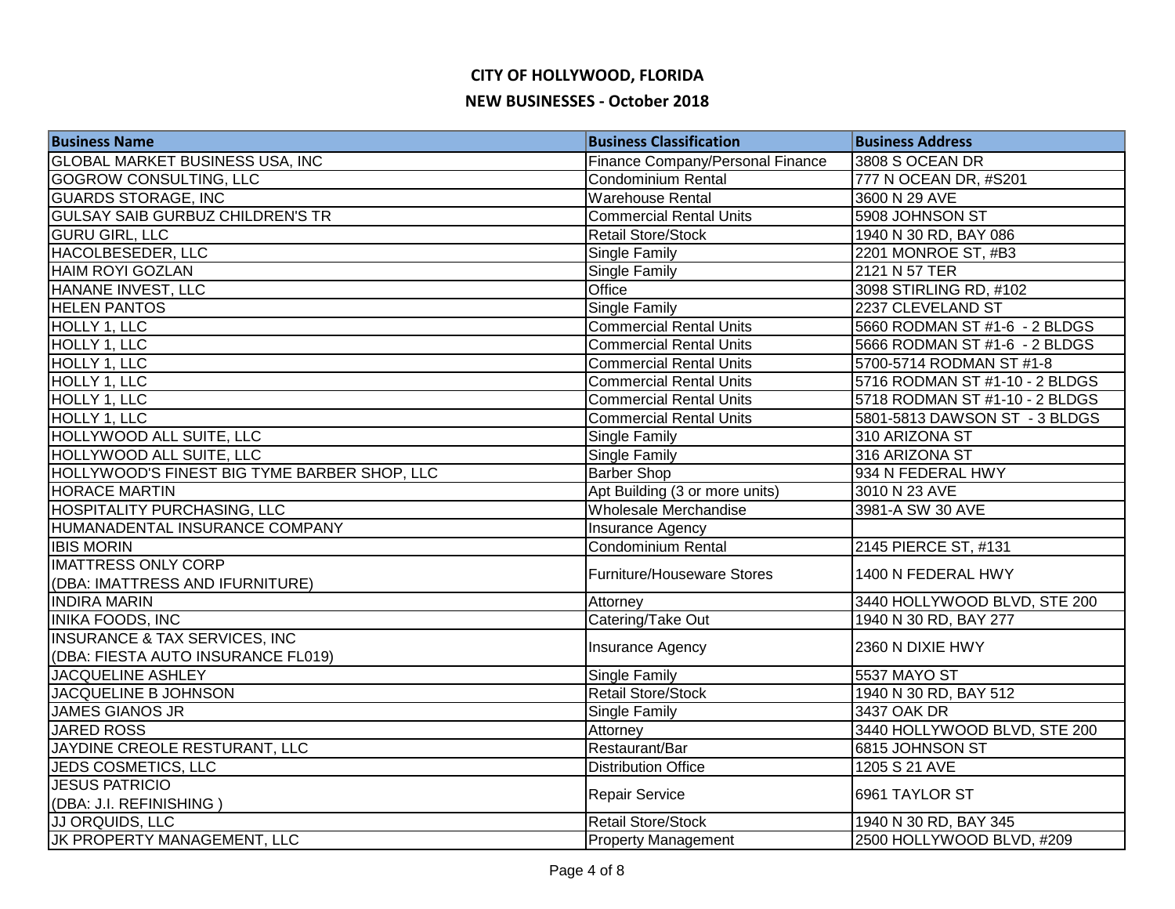| <b>Business Name</b>                         | <b>Business Classification</b>   | <b>Business Address</b>        |
|----------------------------------------------|----------------------------------|--------------------------------|
| <b>GLOBAL MARKET BUSINESS USA, INC</b>       | Finance Company/Personal Finance | 3808 S OCEAN DR                |
| <b>GOGROW CONSULTING, LLC</b>                | <b>Condominium Rental</b>        | 777 N OCEAN DR, #S201          |
| <b>GUARDS STORAGE, INC</b>                   | <b>Warehouse Rental</b>          | 3600 N 29 AVE                  |
| <b>GULSAY SAIB GURBUZ CHILDREN'S TR</b>      | <b>Commercial Rental Units</b>   | 5908 JOHNSON ST                |
| <b>GURU GIRL, LLC</b>                        | <b>Retail Store/Stock</b>        | 1940 N 30 RD, BAY 086          |
| HACOLBESEDER, LLC                            | Single Family                    | 2201 MONROE ST, #B3            |
| <b>HAIM ROYI GOZLAN</b>                      | Single Family                    | 2121 N 57 TER                  |
| HANANE INVEST, LLC                           | Office                           | 3098 STIRLING RD, #102         |
| <b>HELEN PANTOS</b>                          | <b>Single Family</b>             | 2237 CLEVELAND ST              |
| HOLLY 1, LLC                                 | <b>Commercial Rental Units</b>   | 5660 RODMAN ST #1-6 - 2 BLDGS  |
| <b>HOLLY 1, LLC</b>                          | <b>Commercial Rental Units</b>   | 5666 RODMAN ST #1-6 - 2 BLDGS  |
| HOLLY 1, LLC                                 | <b>Commercial Rental Units</b>   | 5700-5714 RODMAN ST #1-8       |
| HOLLY 1, LLC                                 | <b>Commercial Rental Units</b>   | 5716 RODMAN ST #1-10 - 2 BLDGS |
| HOLLY 1, LLC                                 | <b>Commercial Rental Units</b>   | 5718 RODMAN ST #1-10 - 2 BLDGS |
| HOLLY 1, LLC                                 | <b>Commercial Rental Units</b>   | 5801-5813 DAWSON ST - 3 BLDGS  |
| HOLLYWOOD ALL SUITE, LLC                     | Single Family                    | 310 ARIZONA ST                 |
| HOLLYWOOD ALL SUITE, LLC                     | <b>Single Family</b>             | 316 ARIZONA ST                 |
| HOLLYWOOD'S FINEST BIG TYME BARBER SHOP, LLC | <b>Barber Shop</b>               | 934 N FEDERAL HWY              |
| <b>HORACE MARTIN</b>                         | Apt Building (3 or more units)   | 3010 N 23 AVE                  |
| HOSPITALITY PURCHASING, LLC                  | Wholesale Merchandise            | 3981-A SW 30 AVE               |
| HUMANADENTAL INSURANCE COMPANY               | Insurance Agency                 |                                |
| <b>IBIS MORIN</b>                            | <b>Condominium Rental</b>        | 2145 PIERCE ST, #131           |
| <b>IMATTRESS ONLY CORP</b>                   | Furniture/Houseware Stores       | 1400 N FEDERAL HWY             |
| (DBA: IMATTRESS AND IFURNITURE)              |                                  |                                |
| <b>INDIRA MARIN</b>                          | Attorney                         | 3440 HOLLYWOOD BLVD, STE 200   |
| <b>INIKA FOODS, INC</b>                      | Catering/Take Out                | 1940 N 30 RD, BAY 277          |
| <b>INSURANCE &amp; TAX SERVICES, INC.</b>    | Insurance Agency                 | 2360 N DIXIE HWY               |
| (DBA: FIESTA AUTO INSURANCE FL019)           |                                  |                                |
| <b>JACQUELINE ASHLEY</b>                     | Single Family                    | <b>5537 MAYO ST</b>            |
| <b>JACQUELINE B JOHNSON</b>                  | <b>Retail Store/Stock</b>        | 1940 N 30 RD, BAY 512          |
| <b>JAMES GIANOS JR</b>                       | Single Family                    | 3437 OAK DR                    |
| <b>JARED ROSS</b>                            | Attorney                         | 3440 HOLLYWOOD BLVD, STE 200   |
| JAYDINE CREOLE RESTURANT, LLC                | Restaurant/Bar                   | 6815 JOHNSON ST                |
| JEDS COSMETICS, LLC                          | <b>Distribution Office</b>       | 1205 S 21 AVE                  |
| <b>JESUS PATRICIO</b>                        | Repair Service                   | 6961 TAYLOR ST                 |
| (DBA: J.I. REFINISHING)                      |                                  |                                |
| JJ ORQUIDS, LLC                              | <b>Retail Store/Stock</b>        | 1940 N 30 RD, BAY 345          |
| JK PROPERTY MANAGEMENT, LLC                  | <b>Property Management</b>       | 2500 HOLLYWOOD BLVD, #209      |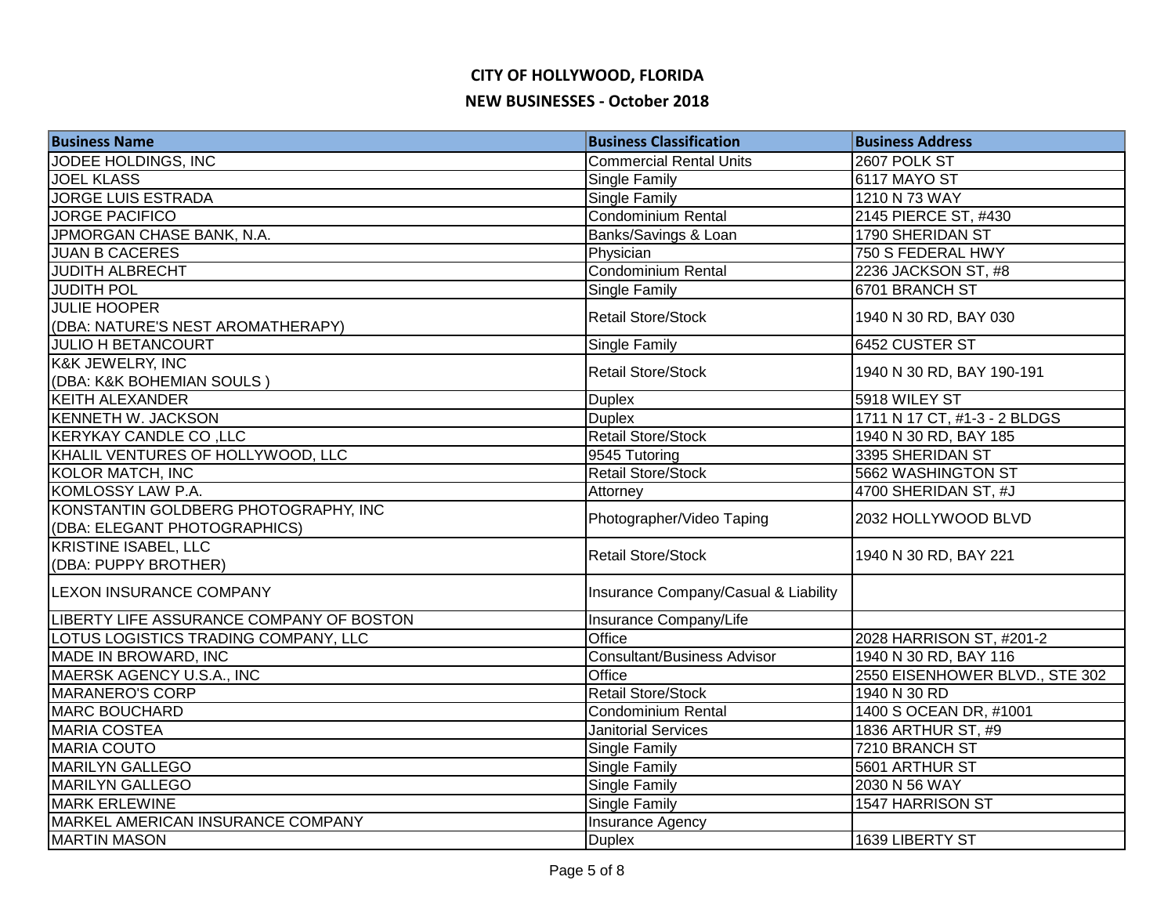| JODEE HOLDINGS, INC<br><b>Commercial Rental Units</b><br>2607 POLK ST<br><b>JOEL KLASS</b><br>6117 MAYO ST<br><b>Single Family</b><br><b>JORGE LUIS ESTRADA</b><br><b>Single Family</b><br>1210 N 73 WAY<br>Condominium Rental<br><b>JORGE PACIFICO</b><br>2145 PIERCE ST, #430<br>JPMORGAN CHASE BANK, N.A.<br>1790 SHERIDAN ST<br>Banks/Savings & Loan<br><b>JUAN B CACERES</b><br>750 S FEDERAL HWY<br>Physician<br>Condominium Rental<br><b>JUDITH ALBRECHT</b><br>2236 JACKSON ST, #8 |
|--------------------------------------------------------------------------------------------------------------------------------------------------------------------------------------------------------------------------------------------------------------------------------------------------------------------------------------------------------------------------------------------------------------------------------------------------------------------------------------------|
|                                                                                                                                                                                                                                                                                                                                                                                                                                                                                            |
|                                                                                                                                                                                                                                                                                                                                                                                                                                                                                            |
|                                                                                                                                                                                                                                                                                                                                                                                                                                                                                            |
|                                                                                                                                                                                                                                                                                                                                                                                                                                                                                            |
|                                                                                                                                                                                                                                                                                                                                                                                                                                                                                            |
|                                                                                                                                                                                                                                                                                                                                                                                                                                                                                            |
|                                                                                                                                                                                                                                                                                                                                                                                                                                                                                            |
| <b>JUDITH POL</b><br><b>Single Family</b><br>6701 BRANCH ST                                                                                                                                                                                                                                                                                                                                                                                                                                |
| <b>JULIE HOOPER</b><br><b>Retail Store/Stock</b><br>1940 N 30 RD, BAY 030                                                                                                                                                                                                                                                                                                                                                                                                                  |
| (DBA: NATURE'S NEST AROMATHERAPY)                                                                                                                                                                                                                                                                                                                                                                                                                                                          |
| 6452 CUSTER ST<br><b>JULIO H BETANCOURT</b><br><b>Single Family</b>                                                                                                                                                                                                                                                                                                                                                                                                                        |
| K&K JEWELRY, INC<br><b>Retail Store/Stock</b><br>1940 N 30 RD, BAY 190-191                                                                                                                                                                                                                                                                                                                                                                                                                 |
| (DBA: K&K BOHEMIAN SOULS)                                                                                                                                                                                                                                                                                                                                                                                                                                                                  |
| Duplex<br><b>KEITH ALEXANDER</b><br>5918 WILEY ST                                                                                                                                                                                                                                                                                                                                                                                                                                          |
| <b>KENNETH W. JACKSON</b><br>1711 N 17 CT, #1-3 - 2 BLDGS<br><b>Duplex</b>                                                                                                                                                                                                                                                                                                                                                                                                                 |
| <b>Retail Store/Stock</b><br>KERYKAY CANDLE CO, LLC<br>1940 N 30 RD, BAY 185                                                                                                                                                                                                                                                                                                                                                                                                               |
| KHALIL VENTURES OF HOLLYWOOD, LLC<br>9545 Tutoring<br>3395 SHERIDAN ST                                                                                                                                                                                                                                                                                                                                                                                                                     |
| KOLOR MATCH, INC<br>Retail Store/Stock<br>5662 WASHINGTON ST                                                                                                                                                                                                                                                                                                                                                                                                                               |
| KOMLOSSY LAW P.A.<br>4700 SHERIDAN ST, #J<br>Attorney                                                                                                                                                                                                                                                                                                                                                                                                                                      |
| KONSTANTIN GOLDBERG PHOTOGRAPHY, INC<br>Photographer/Video Taping<br>2032 HOLLYWOOD BLVD                                                                                                                                                                                                                                                                                                                                                                                                   |
| (DBA: ELEGANT PHOTOGRAPHICS)                                                                                                                                                                                                                                                                                                                                                                                                                                                               |
| <b>KRISTINE ISABEL, LLC</b><br><b>Retail Store/Stock</b><br>1940 N 30 RD, BAY 221                                                                                                                                                                                                                                                                                                                                                                                                          |
| (DBA: PUPPY BROTHER)                                                                                                                                                                                                                                                                                                                                                                                                                                                                       |
| LEXON INSURANCE COMPANY<br>Insurance Company/Casual & Liability                                                                                                                                                                                                                                                                                                                                                                                                                            |
| LIBERTY LIFE ASSURANCE COMPANY OF BOSTON<br>Insurance Company/Life                                                                                                                                                                                                                                                                                                                                                                                                                         |
| LOTUS LOGISTICS TRADING COMPANY, LLC<br>Office<br>2028 HARRISON ST, #201-2                                                                                                                                                                                                                                                                                                                                                                                                                 |
| MADE IN BROWARD, INC<br>1940 N 30 RD, BAY 116<br>Consultant/Business Advisor                                                                                                                                                                                                                                                                                                                                                                                                               |
| MAERSK AGENCY U.S.A., INC<br>Office<br>2550 EISENHOWER BLVD., STE 302                                                                                                                                                                                                                                                                                                                                                                                                                      |
| <b>MARANERO'S CORP</b><br><b>Retail Store/Stock</b><br>1940 N 30 RD                                                                                                                                                                                                                                                                                                                                                                                                                        |
| 1400 S OCEAN DR, #1001<br><b>MARC BOUCHARD</b><br>Condominium Rental                                                                                                                                                                                                                                                                                                                                                                                                                       |
| <b>MARIA COSTEA</b><br>1836 ARTHUR ST, #9<br><b>Janitorial Services</b>                                                                                                                                                                                                                                                                                                                                                                                                                    |
| <b>MARIA COUTO</b><br>7210 BRANCH ST<br><b>Single Family</b>                                                                                                                                                                                                                                                                                                                                                                                                                               |
| <b>MARILYN GALLEGO</b><br><b>Single Family</b><br>5601 ARTHUR ST                                                                                                                                                                                                                                                                                                                                                                                                                           |
| <b>MARILYN GALLEGO</b><br>2030 N 56 WAY<br><b>Single Family</b>                                                                                                                                                                                                                                                                                                                                                                                                                            |
| <b>MARK ERLEWINE</b><br><b>Single Family</b><br>1547 HARRISON ST                                                                                                                                                                                                                                                                                                                                                                                                                           |
| MARKEL AMERICAN INSURANCE COMPANY<br>Insurance Agency                                                                                                                                                                                                                                                                                                                                                                                                                                      |
| <b>MARTIN MASON</b><br><b>Duplex</b><br>1639 LIBERTY ST                                                                                                                                                                                                                                                                                                                                                                                                                                    |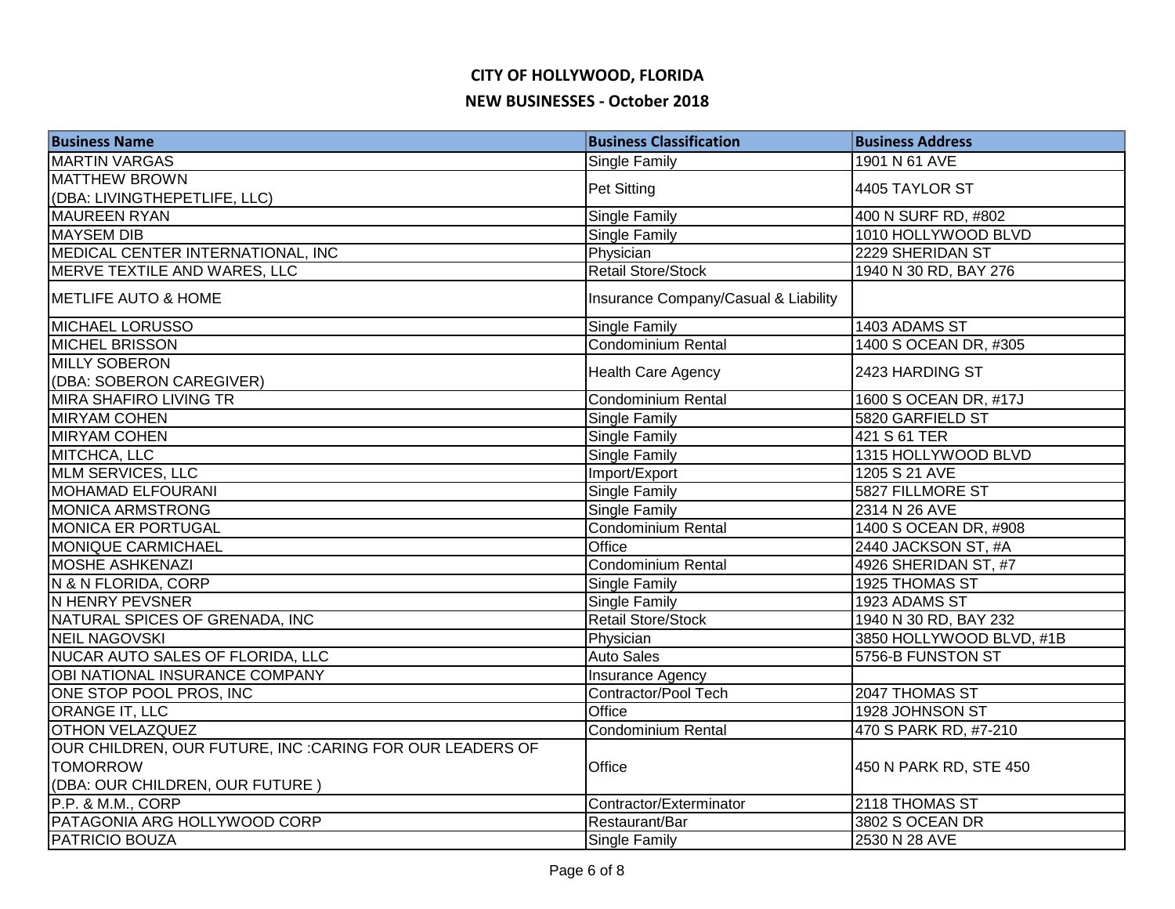| <b>Business Name</b>                                      | <b>Business Classification</b>       | <b>Business Address</b>  |
|-----------------------------------------------------------|--------------------------------------|--------------------------|
| <b>MARTIN VARGAS</b>                                      | <b>Single Family</b>                 | 1901 N 61 AVE            |
| <b>MATTHEW BROWN</b>                                      | <b>Pet Sitting</b>                   | 4405 TAYLOR ST           |
| (DBA: LIVINGTHEPETLIFE, LLC)                              |                                      |                          |
| <b>MAUREEN RYAN</b>                                       | <b>Single Family</b>                 | 400 N SURF RD, #802      |
| <b>MAYSEM DIB</b>                                         | Single Family                        | 1010 HOLLYWOOD BLVD      |
| MEDICAL CENTER INTERNATIONAL, INC                         | Physician                            | 2229 SHERIDAN ST         |
| MERVE TEXTILE AND WARES, LLC                              | <b>Retail Store/Stock</b>            | 1940 N 30 RD, BAY 276    |
| <b>IMETLIFE AUTO &amp; HOME</b>                           | Insurance Company/Casual & Liability |                          |
| <b>MICHAEL LORUSSO</b>                                    | <b>Single Family</b>                 | 1403 ADAMS ST            |
| <b>MICHEL BRISSON</b>                                     | <b>Condominium Rental</b>            | 1400 S OCEAN DR, #305    |
| <b>MILLY SOBERON</b>                                      |                                      | 2423 HARDING ST          |
| (DBA: SOBERON CAREGIVER)                                  | <b>Health Care Agency</b>            |                          |
| MIRA SHAFIRO LIVING TR                                    | Condominium Rental                   | 1600 S OCEAN DR, #17J    |
| <b>MIRYAM COHEN</b>                                       | <b>Single Family</b>                 | 5820 GARFIELD ST         |
| <b>MIRYAM COHEN</b>                                       | <b>Single Family</b>                 | 421 S 61 TER             |
| MITCHCA, LLC                                              | Single Family                        | 1315 HOLLYWOOD BLVD      |
| MLM SERVICES, LLC                                         | Import/Export                        | 1205 S 21 AVE            |
| MOHAMAD ELFOURANI                                         | <b>Single Family</b>                 | 5827 FILLMORE ST         |
| <b>MONICA ARMSTRONG</b>                                   | <b>Single Family</b>                 | 2314 N 26 AVE            |
| MONICA ER PORTUGAL                                        | Condominium Rental                   | 1400 S OCEAN DR, #908    |
| <b>MONIQUE CARMICHAEL</b>                                 | Office                               | 2440 JACKSON ST, #A      |
| <b>MOSHE ASHKENAZI</b>                                    | Condominium Rental                   | 4926 SHERIDAN ST, #7     |
| N & N FLORIDA, CORP                                       | Single Family                        | 1925 THOMAS ST           |
| N HENRY PEVSNER                                           | <b>Single Family</b>                 | 1923 ADAMS ST            |
| NATURAL SPICES OF GRENADA, INC                            | <b>Retail Store/Stock</b>            | 1940 N 30 RD, BAY 232    |
| <b>NEIL NAGOVSKI</b>                                      | Physician                            | 3850 HOLLYWOOD BLVD, #1B |
| NUCAR AUTO SALES OF FLORIDA, LLC                          | <b>Auto Sales</b>                    | 5756-B FUNSTON ST        |
| OBI NATIONAL INSURANCE COMPANY                            | Insurance Agency                     |                          |
| ONE STOP POOL PROS, INC                                   | Contractor/Pool Tech                 | 2047 THOMAS ST           |
| <b>ORANGE IT, LLC</b>                                     | Office                               | 1928 JOHNSON ST          |
| <b>OTHON VELAZQUEZ</b>                                    | Condominium Rental                   | 470 S PARK RD, #7-210    |
| OUR CHILDREN, OUR FUTURE, INC : CARING FOR OUR LEADERS OF |                                      |                          |
| <b>TOMORROW</b>                                           | Office                               | 450 N PARK RD, STE 450   |
| (DBA: OUR CHILDREN, OUR FUTURE)                           |                                      |                          |
| P.P. & M.M., CORP                                         | Contractor/Exterminator              | 2118 THOMAS ST           |
| PATAGONIA ARG HOLLYWOOD CORP                              | Restaurant/Bar                       | 3802 S OCEAN DR          |
| <b>PATRICIO BOUZA</b>                                     | <b>Single Family</b>                 | 2530 N 28 AVE            |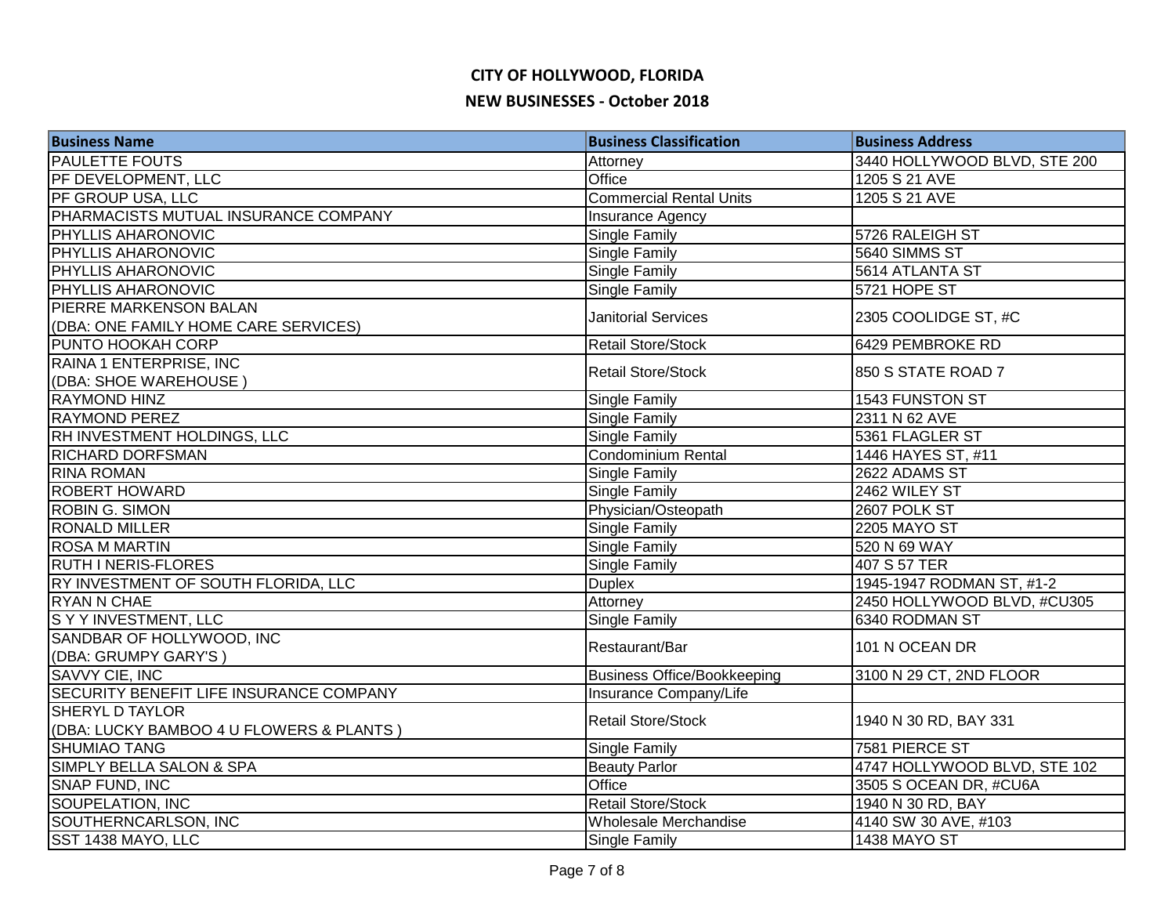| <b>Business Name</b>                           | <b>Business Classification</b>     | <b>Business Address</b>      |
|------------------------------------------------|------------------------------------|------------------------------|
| <b>PAULETTE FOUTS</b>                          | Attorney                           | 3440 HOLLYWOOD BLVD, STE 200 |
| PF DEVELOPMENT, LLC                            | Office                             | 1205 S 21 AVE                |
| <b>PF GROUP USA, LLC</b>                       | <b>Commercial Rental Units</b>     | 1205 S 21 AVE                |
| PHARMACISTS MUTUAL INSURANCE COMPANY           | <b>Insurance Agency</b>            |                              |
| <b>PHYLLIS AHARONOVIC</b>                      | Single Family                      | 5726 RALEIGH ST              |
| <b>PHYLLIS AHARONOVIC</b>                      | Single Family                      | 5640 SIMMS ST                |
| <b>PHYLLIS AHARONOVIC</b>                      | Single Family                      | 5614 ATLANTA ST              |
| <b>PHYLLIS AHARONOVIC</b>                      | <b>Single Family</b>               | 5721 HOPE ST                 |
| <b>PIERRE MARKENSON BALAN</b>                  | <b>Janitorial Services</b>         |                              |
| (DBA: ONE FAMILY HOME CARE SERVICES)           |                                    | 2305 COOLIDGE ST, #C         |
| <b>PUNTO HOOKAH CORP</b>                       | <b>Retail Store/Stock</b>          | 6429 PEMBROKE RD             |
| RAINA 1 ENTERPRISE, INC                        | <b>Retail Store/Stock</b>          | 850 S STATE ROAD 7           |
| (DBA: SHOE WAREHOUSE)                          |                                    |                              |
| <b>RAYMOND HINZ</b>                            | Single Family                      | 1543 FUNSTON ST              |
| <b>RAYMOND PEREZ</b>                           | Single Family                      | 2311 N 62 AVE                |
| RH INVESTMENT HOLDINGS, LLC                    | Single Family                      | 5361 FLAGLER ST              |
| <b>RICHARD DORFSMAN</b>                        | <b>Condominium Rental</b>          | 1446 HAYES ST, #11           |
| <b>RINA ROMAN</b>                              | Single Family                      | 2622 ADAMS ST                |
| <b>ROBERT HOWARD</b>                           | <b>Single Family</b>               | 2462 WILEY ST                |
| <b>ROBIN G. SIMON</b>                          | Physician/Osteopath                | 2607 POLK ST                 |
| <b>RONALD MILLER</b>                           | <b>Single Family</b>               | <b>2205 MAYO ST</b>          |
| <b>ROSA M MARTIN</b>                           | Single Family                      | 520 N 69 WAY                 |
| <b>RUTH INERIS-FLORES</b>                      | Single Family                      | 407 S 57 TER                 |
| RY INVESTMENT OF SOUTH FLORIDA, LLC            | <b>Duplex</b>                      | 1945-1947 RODMAN ST, #1-2    |
| <b>RYAN N CHAE</b>                             | Attorney                           | 2450 HOLLYWOOD BLVD, #CU305  |
| <b>SYYINVESTMENT, LLC</b>                      | <b>Single Family</b>               | 6340 RODMAN ST               |
| SANDBAR OF HOLLYWOOD, INC                      | Restaurant/Bar                     | 101 N OCEAN DR               |
| (DBA: GRUMPY GARY'S)                           |                                    |                              |
| SAVVY CIE, INC                                 | <b>Business Office/Bookkeeping</b> | 3100 N 29 CT, 2ND FLOOR      |
| <b>SECURITY BENEFIT LIFE INSURANCE COMPANY</b> | Insurance Company/Life             |                              |
| <b>SHERYL D TAYLOR</b>                         | <b>Retail Store/Stock</b>          | 1940 N 30 RD, BAY 331        |
| (DBA: LUCKY BAMBOO 4 U FLOWERS & PLANTS )      |                                    |                              |
| <b>SHUMIAO TANG</b>                            | Single Family                      | 7581 PIERCE ST               |
| SIMPLY BELLA SALON & SPA                       | <b>Beauty Parlor</b>               | 4747 HOLLYWOOD BLVD, STE 102 |
| <b>SNAP FUND, INC</b>                          | Office                             | 3505 S OCEAN DR, #CU6A       |
| <b>SOUPELATION, INC</b>                        | <b>Retail Store/Stock</b>          | 1940 N 30 RD, BAY            |
| SOUTHERNCARLSON, INC                           | Wholesale Merchandise              | 4140 SW 30 AVE, #103         |
| SST 1438 MAYO, LLC                             | Single Family                      | <b>1438 MAYO ST</b>          |